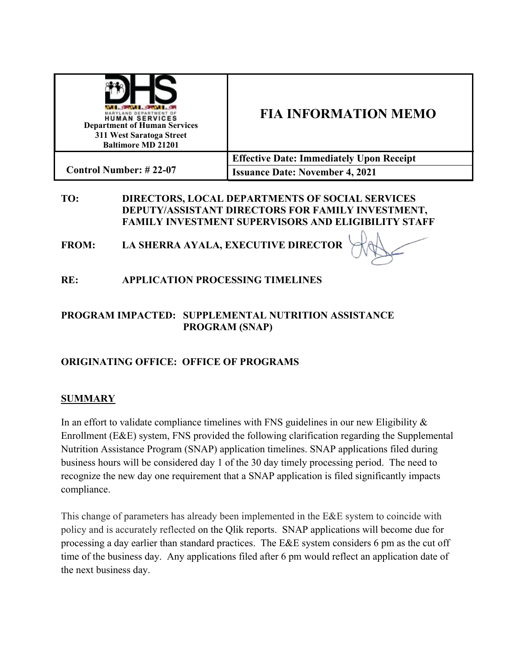| <b>CONTRACTOR</b><br>MARYLAND DEPARTMENT OF<br><b>HUMAN SERVICES</b><br><b>Department of Human Services</b><br>311 West Saratoga Street<br><b>Baltimore MD 21201</b> | <b>FIA INFORMATION MEMO</b>                     |  |
|----------------------------------------------------------------------------------------------------------------------------------------------------------------------|-------------------------------------------------|--|
| <b>Control Number: #22-07</b>                                                                                                                                        | <b>Effective Date: Immediately Upon Receipt</b> |  |
|                                                                                                                                                                      | <b>Issuance Date: November 4, 2021</b>          |  |

### **TO: DIRECTORS, LOCAL DEPARTMENTS OF SOCIAL SERVICES DEPUTY/ASSISTANT DIRECTORS FOR FAMILY INVESTMENT, FAMILY INVESTMENT SUPERVISORS AND ELIGIBILITY STAFF**

**FROM: LA SHERRA AYALA, EXECUTIVE DIRECTOR**

**RE: APPLICATION PROCESSING TIMELINES**

### **PROGRAM IMPACTED: SUPPLEMENTAL NUTRITION ASSISTANCE PROGRAM (SNAP)**

# **ORIGINATING OFFICE: OFFICE OF PROGRAMS**

# **SUMMARY**

In an effort to validate compliance timelines with FNS guidelines in our new Eligibility & Enrollment (E&E) system, FNS provided the following clarification regarding the Supplemental Nutrition Assistance Program (SNAP) application timelines. SNAP applications filed during business hours will be considered day 1 of the 30 day timely processing period. The need to recognize the new day one requirement that a SNAP application is filed significantly impacts compliance.

This change of parameters has already been implemented in the E&E system to coincide with policy and is accurately reflected on the Qlik reports. SNAP applications will become due for processing a day earlier than standard practices. The E&E system considers 6 pm as the cut off time of the business day. Any applications filed after 6 pm would reflect an application date of the next business day.